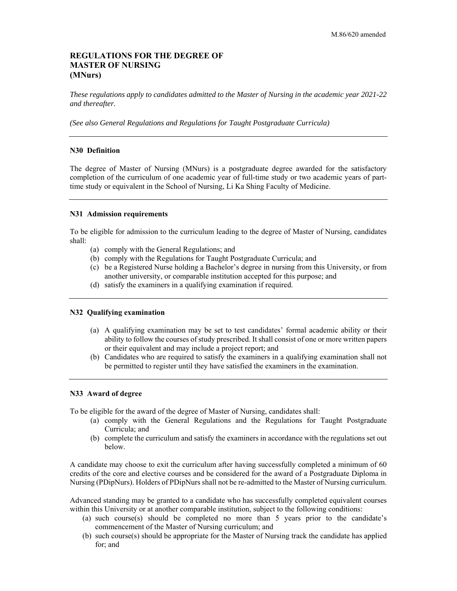# **REGULATIONS FOR THE DEGREE OF MASTER OF NURSING (MNurs)**

 *These regulations apply to candidates admitted to the Master of Nursing in the academic year 2021-22 and thereafter.* 

*(See also General Regulations and Regulations for Taught Postgraduate Curricula)* 

#### **N30 Definition**

 The degree of Master of Nursing (MNurs) is a postgraduate degree awarded for the satisfactory completion of the curriculum of one academic year of full-time study or two academic years of parttime study or equivalent in the School of Nursing, Li Ka Shing Faculty of Medicine.

#### **N31 Admission requirements**

 To be eligible for admission to the curriculum leading to the degree of Master of Nursing, candidates shall:

- (a) comply with the General Regulations; and
- (b) comply with the Regulations for Taught Postgraduate Curricula; and
- (c) be a Registered Nurse holding a Bachelor's degree in nursing from this University, or from another university, or comparable institution accepted for this purpose; and
- (d) satisfy the examiners in a qualifying examination if required.

#### **N32 Qualifying examination**

- (a) A qualifying examination may be set to test candidates' formal academic ability or their ability to follow the courses of study prescribed. It shall consist of one or more written papers or their equivalent and may include a project report; and
- (b) Candidates who are required to satisfy the examiners in a qualifying examination shall not be permitted to register until they have satisfied the examiners in the examination.

#### **N33 Award of degree**

To be eligible for the award of the degree of Master of Nursing, candidates shall:

- (a) comply with the General Regulations and the Regulations for Taught Postgraduate Curricula; and
- (b) complete the curriculum and satisfy the examiners in accordance with the regulations set out below.

 A candidate may choose to exit the curriculum after having successfully completed a minimum of 60 credits of the core and elective courses and be considered for the award of a Postgraduate Diploma in Nursing (PDipNurs). Holders of PDipNurs shall not be re-admitted to the Master of Nursing curriculum.

 Advanced standing may be granted to a candidate who has successfully completed equivalent courses within this University or at another comparable institution, subject to the following conditions:

- (a) such course(s) should be completed no more than 5 years prior to the candidate's commencement of the Master of Nursing curriculum; and
- (b) such course(s) should be appropriate for the Master of Nursing track the candidate has applied for; and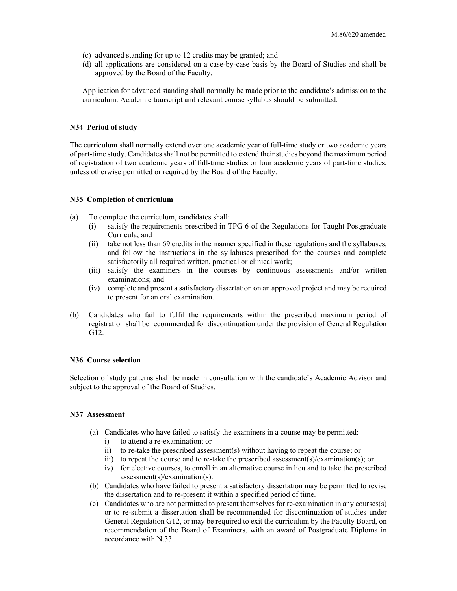- (c) advanced standing for up to 12 credits may be granted; and
- (d) all applications are considered on a case-by-case basis by the Board of Studies and shall be approved by the Board of the Faculty.

 Application for advanced standing shall normally be made prior to the candidate's admission to the curriculum. Academic transcript and relevant course syllabus should be submitted.

### **N34 Period of study**

 The curriculum shall normally extend over one academic year of full-time study or two academic years of part-time study. Candidates shall not be permitted to extend their studies beyond the maximum period of registration of two academic years of full-time studies or four academic years of part-time studies, unless otherwise permitted or required by the Board of the Faculty.

#### **N35 Completion of curriculum**

- (a) To complete the curriculum, candidates shall:
	- (i) satisfy the requirements prescribed in TPG 6 of the Regulations for Taught Postgraduate Curricula; and
	- (ii) take not less than 69 credits in the manner specified in these regulations and the syllabuses, and follow the instructions in the syllabuses prescribed for the courses and complete satisfactorily all required written, practical or clinical work;
	- (iii) satisfy the examiners in the courses by continuous assessments and/or written examinations; and
	- (iv) complete and present a satisfactory dissertation on an approved project and may be required to present for an oral examination.
- (b) Candidates who fail to fulfil the requirements within the prescribed maximum period of registration shall be recommended for discontinuation under the provision of General Regulation G12.

#### **N36 Course selection**

 Selection of study patterns shall be made in consultation with the candidate's Academic Advisor and subject to the approval of the Board of Studies.

### **N37 Assessment**

- (a) Candidates who have failed to satisfy the examiners in a course may be permitted: i) to attend a re-examination; or
	-
	- ii) to re-take the prescribed assessment(s) without having to repeat the course; or
	- iii) to repeat the course and to re-take the prescribed assessment(s)/examination(s); or
	- iv) for elective courses, to enroll in an alternative course in lieu and to take the prescribed assessment(s)/examination(s).
- the dissertation and to re-present it within a specified period of time. (b) Candidates who have failed to present a satisfactory dissertation may be permitted to revise
- (c) Candidates who are not permitted to present themselves for re-examination in any courses(s) or to re-submit a dissertation shall be recommended for discontinuation of studies under General Regulation G12, or may be required to exit the curriculum by the Faculty Board, on recommendation of the Board of Examiners, with an award of Postgraduate Diploma in accordance with N.33.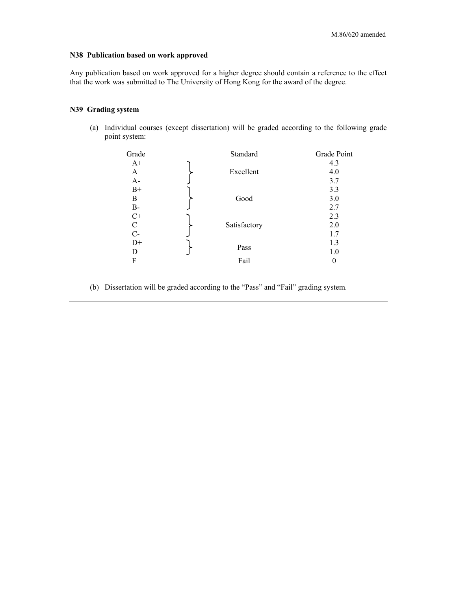#### **N38 Publication based on work approved**

 Any publication based on work approved for a higher degree should contain a reference to the effect that the work was submitted to The University of Hong Kong for the award of the degree.

### **N39 Grading system**

 (a) Individual courses (except dissertation) will be graded according to the following grade point system:

| Grade       |  | Standard     | Grade Point |
|-------------|--|--------------|-------------|
| $A+$        |  |              | 4.3         |
| A           |  | Excellent    | 4.0         |
| $A-$        |  |              | 3.7         |
| $B+$        |  |              | 3.3         |
| B           |  | Good         | 3.0         |
| $B-$        |  |              | 2.7         |
| $C+$        |  | Satisfactory | 2.3         |
| $\mathbf C$ |  |              | 2.0         |
| $C-$        |  |              | 1.7         |
| $D+$        |  |              | 1.3         |
| D           |  | Pass         | 1.0         |
| F           |  | Fail         | 0           |
|             |  |              |             |

(b) Dissertation will be graded according to the "Pass" and "Fail" grading system.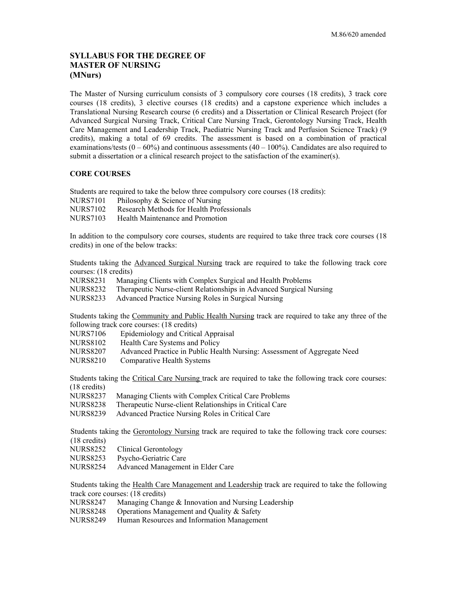# **SYLLABUS FOR THE DEGREE OF MASTER OF NURSING (MNurs)**

 The Master of Nursing curriculum consists of 3 compulsory core courses (18 credits), 3 track core courses (18 credits), 3 elective courses (18 credits) and a capstone experience which includes a Translational Nursing Research course (6 credits) and a Dissertation or Clinical Research Project (for Advanced Surgical Nursing Track, Critical Care Nursing Track, Gerontology Nursing Track, Health Care Management and Leadership Track, Paediatric Nursing Track and Perfusion Science Track) (9 credits), making a total of 69 credits. The assessment is based on a combination of practical examinations/tests  $(0 - 60\%)$  and continuous assessments  $(40 - 100\%)$ . Candidates are also required to submit a dissertation or a clinical research project to the satisfaction of the examiner(s).

### **CORE COURSES**

Students are required to take the below three compulsory core courses (18 credits):

- **NURS7101** Philosophy & Science of Nursing
- NURS7102 Research Methods for Health Professionals
- **NURS7103** Health Maintenance and Promotion

 In addition to the compulsory core courses, students are required to take three track core courses (18 credits) in one of the below tracks:

Students taking the **Advanced Surgical Nursing** track are required to take the following track core courses: (18 credits)

- NURS8231 Managing Clients with Complex Surgical and Health Problems
- NURS8232 Therapeutic Nurse-client Relationships in Advanced Surgical Nursing

NURS8233 Advanced Practice Nursing Roles in Surgical Nursing

Students taking the Community and Public Health Nursing track are required to take any three of the following track core courses: (18 credits)

- **NURS7106** Epidemiology and Critical Appraisal
- NURS8102 Health Care Systems and Policy
- NURS8207 Advanced Practice in Public Health Nursing: Assessment of Aggregate Need
- **NURS8210** Comparative Health Systems

Students taking the Critical Care Nursing track are required to take the following track core courses: (18 credits)

- NURS8237 Managing Clients with Complex Critical Care Problems
- NURS8238 Therapeutic Nurse-client Relationships in Critical Care
- NURS8239 Advanced Practice Nursing Roles in Critical Care

Students taking the Gerontology Nursing track are required to take the following track core courses: (18 credits)

- NURS8252 Clinical Gerontology
- NURS8253 Psycho-Geriatric Care
- NURS8254 Advanced Management in Elder Care

Students taking the Health Care Management and Leadership track are required to take the following track core courses: (18 credits)

- NURS8247 Managing Change & Innovation and Nursing Leadership
- NURS8248 Operations Management and Quality & Safety
- NURS8249 Human Resources and Information Management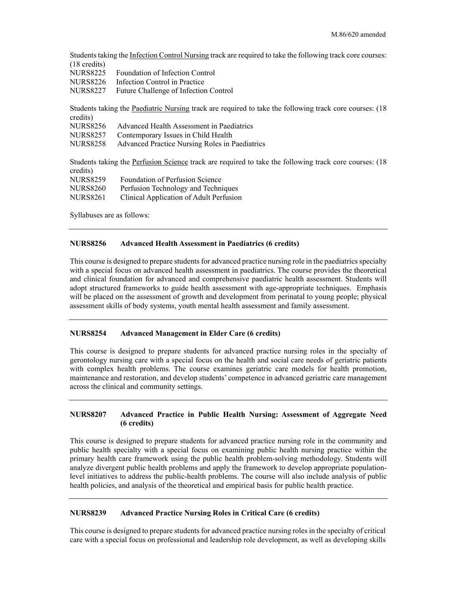Students taking the Infection Control Nursing track are required to take the following track core courses: (18 credits)

NURS8225 Foundation of Infection Control

NURS8226 Infection Control in Practice

NURS8227 Future Challenge of Infection Control

Students taking the Paediatric Nursing track are required to take the following track core courses: (18 credits)

- NURS8257 Contemporary Issues in Child Health
- NURS8258 Advanced Practice Nursing Roles in Paediatrics

Students taking the Perfusion Science track are required to take the following track core courses: (18) NURS8259 Foundation of Perfusion Science NURS8260 Perfusion Technology and Techniques credits)

**NURS8261** Clinical Application of Adult Perfusion

Syllabuses are as follows:

### **NURS8256 Advanced Health Assessment in Paediatrics (6 credits)**

This course is designed to prepare students for advanced practice nursing role in the paediatrics specialty with a special focus on advanced health assessment in paediatrics. The course provides the theoretical and clinical foundation for advanced and comprehensive paediatric health assessment. Students will adopt structured frameworks to guide health assessment with age-appropriate techniques. Emphasis will be placed on the assessment of growth and development from perinatal to young people; physical assessment skills of body systems, youth mental health assessment and family assessment.

### **NURS8254 Advanced Management in Elder Care (6 credits)**

 This course is designed to prepare students for advanced practice nursing roles in the specialty of gerontology nursing care with a special focus on the health and social care needs of geriatric patients with complex health problems. The course examines geriatric care models for health promotion, maintenance and restoration, and develop students' competence in advanced geriatric care management across the clinical and community settings.

# **NURS8207 Advanced Practice in Public Health Nursing: Assessment of Aggregate Need (6 credits)**

 This course is designed to prepare students for advanced practice nursing role in the community and public health specialty with a special focus on examining public health nursing practice within the primary health care framework using the public health problem-solving methodology. Students will analyze divergent public health problems and apply the framework to develop appropriate population- level initiatives to address the public-health problems. The course will also include analysis of public health policies, and analysis of the theoretical and empirical basis for public health practice.

# **NURS8239 Advanced Practice Nursing Roles in Critical Care (6 credits)**

 This course is designed to prepare students for advanced practice nursing roles in the specialty of critical care with a special focus on professional and leadership role development, as well as developing skills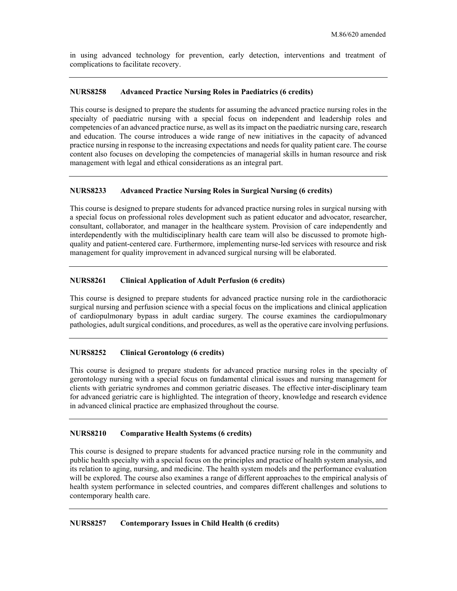in using advanced technology for prevention, early detection, interventions and treatment of complications to facilitate recovery.

# **NURS8258 Advanced Practice Nursing Roles in Paediatrics (6 credits)**

 This course is designed to prepare the students for assuming the advanced practice nursing roles in the specialty of paediatric nursing with a special focus on independent and leadership roles and and education. The course introduces a wide range of new initiatives in the capacity of advanced practice nursing in response to the increasing expectations and needs for quality patient care. The course management with legal and ethical considerations as an integral part. competencies of an advanced practice nurse, as well as its impact on the paediatric nursing care, research content also focuses on developing the competencies of managerial skills in human resource and risk

### **NURS8233 Advanced Practice Nursing Roles in Surgical Nursing (6 credits)**

 This course is designed to prepare students for advanced practice nursing roles in surgical nursing with a special focus on professional roles development such as patient educator and advocator, researcher, consultant, collaborator, and manager in the healthcare system. Provision of care independently and interdependently with the multidisciplinary health care team will also be discussed to promote high- quality and patient-centered care. Furthermore, implementing nurse-led services with resource and risk management for quality improvement in advanced surgical nursing will be elaborated.

### **NURS8261 Clinical Application of Adult Perfusion (6 credits)**

 This course is designed to prepare students for advanced practice nursing role in the cardiothoracic surgical nursing and perfusion science with a special focus on the implications and clinical application of cardiopulmonary bypass in adult cardiac surgery. The course examines the cardiopulmonary pathologies, adult surgical conditions, and procedures, as well as the operative care involving perfusions.

### **NURS8252 Clinical Gerontology (6 credits)**

 This course is designed to prepare students for advanced practice nursing roles in the specialty of gerontology nursing with a special focus on fundamental clinical issues and nursing management for clients with geriatric syndromes and common geriatric diseases. The effective inter-disciplinary team for advanced geriatric care is highlighted. The integration of theory, knowledge and research evidence in advanced clinical practice are emphasized throughout the course.

### **NURS8210 Comparative Health Systems (6 credits)**

 This course is designed to prepare students for advanced practice nursing role in the community and public health specialty with a special focus on the principles and practice of health system analysis, and health system performance in selected countries, and compares different challenges and solutions to its relation to aging, nursing, and medicine. The health system models and the performance evaluation will be explored. The course also examines a range of different approaches to the empirical analysis of contemporary health care.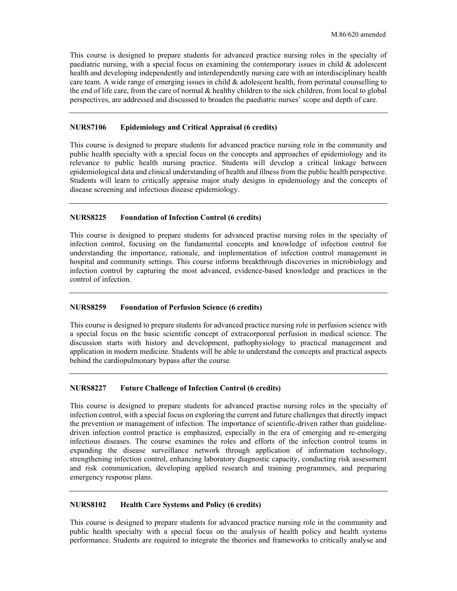This course is designed to prepare students for advanced practice nursing roles in the specialty of paediatric nursing, with a special focus on examining the contemporary issues in child & adolescent health and developing independently and interdependently nursing care with an interdisciplinary health the end of life care, from the care of normal & healthy children to the sick children, from local to global perspectives, are addressed and discussed to broaden the paediatric nurses' scope and depth of care. care team. A wide range of emerging issues in child & adolescent health, from perinatal counselling to

# **NURS7106 Epidemiology and Critical Appraisal (6 credits)**

 This course is designed to prepare students for advanced practice nursing role in the community and public health specialty with a special focus on the concepts and approaches of epidemiology and its relevance to public health nursing practice. Students will develop a critical linkage between epidemiological data and clinical understanding of health and illness from the public health perspective. Students will learn to critically appraise major study designs in epidemiology and the concepts of disease screening and infectious disease epidemiology.

# **NURS8225 Foundation of Infection Control (6 credits)**

 This course is designed to prepare students for advanced practise nursing roles in the specialty of understanding the importance, rationale, and implementation of infection control management in hospital and community settings. This course informs breakthrough discoveries in microbiology and control of infection. infection control, focusing on the fundamental concepts and knowledge of infection control for infection control by capturing the most advanced, evidence-based knowledge and practices in the

#### **NURS8259 Foundation of Perfusion Science (6 credits)**

 This course is designed to prepare students for advanced practice nursing role in perfusion science with a special focus on the basic scientific concept of extracorporeal perfusion in medical science. The discussion starts with history and development, pathophysiology to practical management and application in modern medicine. Students will be able to understand the concepts and practical aspects behind the cardiopulmonary bypass after the course.

### **NURS8227 Future Challenge of Infection Control (6 credits)**

 This course is designed to prepare students for advanced practise nursing roles in the specialty of infection control, with a special focus on exploring the current and future challenges that directly impact the prevention or management of infection. The importance of scientific-driven rather than guideline- infectious diseases. The course examines the roles and efforts of the infection control teams in expanding the disease surveillance network through application of information technology, strengthening infection control, enhancing laboratory diagnostic capacity, conducting risk assessment and risk communication, developing applied research and training programmes, and preparing driven infection control practice is emphasized, especially in the era of emerging and re-emerging emergency response plans.

# **NURS8102 Health Care Systems and Policy (6 credits)**

 This course is designed to prepare students for advanced practice nursing role in the community and public health specialty with a special focus on the analysis of health policy and health systems performance. Students are required to integrate the theories and frameworks to critically analyse and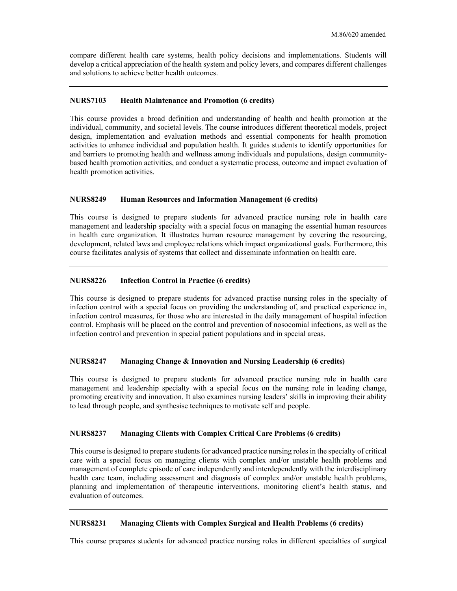compare different health care systems, health policy decisions and implementations. Students will develop a critical appreciation of the health system and policy levers, and compares different challenges and solutions to achieve better health outcomes.

#### **NURS7103 Health Maintenance and Promotion (6 credits)**

 This course provides a broad definition and understanding of health and health promotion at the design, implementation and evaluation methods and essential components for health promotion and barriers to promoting health and wellness among individuals and populations, design communityindividual, community, and societal levels. The course introduces different theoretical models, project activities to enhance individual and population health. It guides students to identify opportunities for based health promotion activities, and conduct a systematic process, outcome and impact evaluation of health promotion activities.

### **NURS8249 Human Resources and Information Management (6 credits)**

 This course is designed to prepare students for advanced practice nursing role in health care management and leadership specialty with a special focus on managing the essential human resources in health care organization. It illustrates human resource management by covering the resourcing, development, related laws and employee relations which impact organizational goals. Furthermore, this course facilitates analysis of systems that collect and disseminate information on health care.

### **NURS8226 Infection Control in Practice (6 credits)**

 This course is designed to prepare students for advanced practise nursing roles in the specialty of infection control measures, for those who are interested in the daily management of hospital infection control. Emphasis will be placed on the control and prevention of nosocomial infections, as well as the infection control with a special focus on providing the understanding of, and practical experience in, infection control and prevention in special patient populations and in special areas.

# **NURS8247 Managing Change & Innovation and Nursing Leadership (6 credits)**

 This course is designed to prepare students for advanced practice nursing role in health care management and leadership specialty with a special focus on the nursing role in leading change, promoting creativity and innovation. It also examines nursing leaders' skills in improving their ability to lead through people, and synthesise techniques to motivate self and people.

#### **NURS8237 Managing Clients with Complex Critical Care Problems (6 credits)**

 This course is designed to prepare students for advanced practice nursing roles in the specialty of critical care with a special focus on managing clients with complex and/or unstable health problems and management of complete episode of care independently and interdependently with the interdisciplinary health care team, including assessment and diagnosis of complex and/or unstable health problems, planning and implementation of therapeutic interventions, monitoring client's health status, and evaluation of outcomes.

### **NURS8231 Managing Clients with Complex Surgical and Health Problems (6 credits)**

This course prepares students for advanced practice nursing roles in different specialties of surgical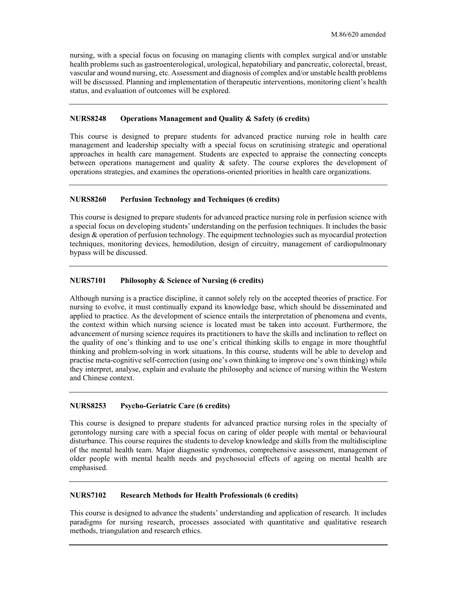nursing, with a special focus on focusing on managing clients with complex surgical and/or unstable health problems such as gastroenterological, urological, hepatobiliary and pancreatic, colorectal, breast, vascular and wound nursing, etc. Assessment and diagnosis of complex and/or unstable health problems will be discussed. Planning and implementation of therapeutic interventions, monitoring client's health status, and evaluation of outcomes will be explored.

#### **NURS8248 Operations Management and Quality & Safety (6 credits)**

 This course is designed to prepare students for advanced practice nursing role in health care management and leadership specialty with a special focus on scrutinising strategic and operational approaches in health care management. Students are expected to appraise the connecting concepts between operations management and quality & safety. The course explores the development of operations strategies, and examines the operations-oriented priorities in health care organizations.

# **NURS8260 Perfusion Technology and Techniques (6 credits)**

 This course is designed to prepare students for advanced practice nursing role in perfusion science with a special focus on developing students' understanding on the perfusion techniques. It includes the basic design & operation of perfusion technology. The equipment technologies such as myocardial protection techniques, monitoring devices, hemodilution, design of circuitry, management of cardiopulmonary bypass will be discussed.

# **NURS7101 Philosophy & Science of Nursing (6 credits)**

 Although nursing is a practice discipline, it cannot solely rely on the accepted theories of practice. For applied to practice. As the development of science entails the interpretation of phenomena and events, the context within which nursing science is located must be taken into account. Furthermore, the the quality of one's thinking and to use one's critical thinking skills to engage in more thoughtful thinking and problem-solving in work situations. In this course, students will be able to develop and practise meta-cognitive self-correction (using one's own thinking to improve one's own thinking) while they interpret, analyse, explain and evaluate the philosophy and science of nursing within the Western nursing to evolve, it must continually expand its knowledge base, which should be disseminated and advancement of nursing science requires its practitioners to have the skills and inclination to reflect on and Chinese context.

### **NURS8253 Psycho-Geriatric Care (6 credits)**

 This course is designed to prepare students for advanced practice nursing roles in the specialty of gerontology nursing care with a special focus on caring of older people with mental or behavioural disturbance. This course requires the students to develop knowledge and skills from the multidiscipline of the mental health team. Major diagnostic syndromes, comprehensive assessment, management of older people with mental health needs and psychosocial effects of ageing on mental health are emphasised.

#### **NURS7102 Research Methods for Health Professionals (6 credits)**

This course is designed to advance the students' understanding and application of research. It includes paradigms for nursing research, processes associated with quantitative and qualitative research methods, triangulation and research ethics.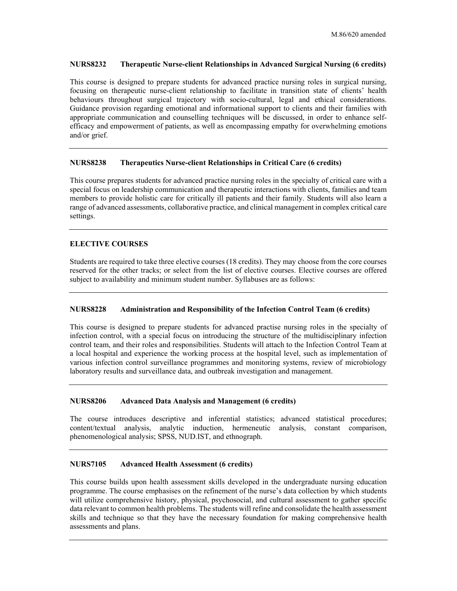# **NURS8232 Therapeutic Nurse-client Relationships in Advanced Surgical Nursing (6 credits)**

 This course is designed to prepare students for advanced practice nursing roles in surgical nursing, focusing on therapeutic nurse-client relationship to facilitate in transition state of clients' health behaviours throughout surgical trajectory with socio-cultural, legal and ethical considerations. Guidance provision regarding emotional and informational support to clients and their families with efficacy and empowerment of patients, as well as encompassing empathy for overwhelming emotions appropriate communication and counselling techniques will be discussed, in order to enhance selfand/or grief.

# **NURS8238 Therapeutics Nurse-client Relationships in Critical Care (6 credits)**

 This course prepares students for advanced practice nursing roles in the specialty of critical care with a members to provide holistic care for critically ill patients and their family. Students will also learn a range of advanced assessments, collaborative practice, and clinical management in complex critical care special focus on leadership communication and therapeutic interactions with clients, families and team settings.

# **ELECTIVE COURSES**

 Students are required to take three elective courses (18 credits). They may choose from the core courses reserved for the other tracks; or select from the list of elective courses. Elective courses are offered subject to availability and minimum student number. Syllabuses are as follows:

# **NURS8228 Administration and Responsibility of the Infection Control Team (6 credits)**

 This course is designed to prepare students for advanced practise nursing roles in the specialty of infection control, with a special focus on introducing the structure of the multidisciplinary infection control team, and their roles and responsibilities. Students will attach to the Infection Control Team at a local hospital and experience the working process at the hospital level, such as implementation of laboratory results and surveillance data, and outbreak investigation and management. various infection control surveillance programmes and monitoring systems, review of microbiology

# **NURS8206 Advanced Data Analysis and Management (6 credits)**

 The course introduces descriptive and inferential statistics; advanced statistical procedures; phenomenological analysis; SPSS, NUD.IST, and ethnograph. content/textual analysis, analytic induction, hermeneutic analysis, constant comparison,

# **NURS7105 Advanced Health Assessment (6 credits)**

 programme. The course emphasises on the refinement of the nurse's data collection by which students assessments and plans.This course builds upon health assessment skills developed in the undergraduate nursing education will utilize comprehensive history, physical, psychosocial, and cultural assessment to gather specific data relevant to common health problems. The students will refine and consolidate the health assessment skills and technique so that they have the necessary foundation for making comprehensive health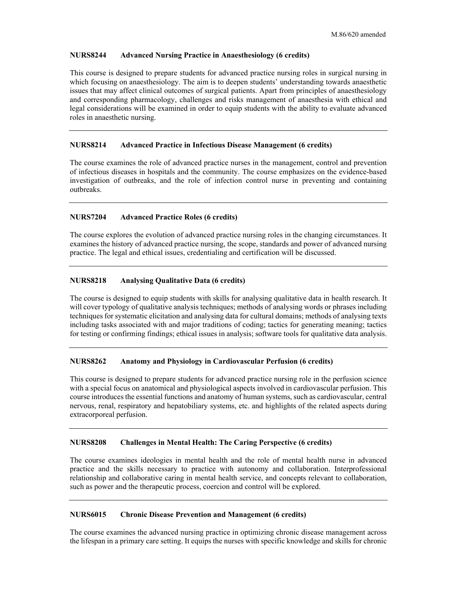# **NURS8244 Advanced Nursing Practice in Anaesthesiology (6 credits)**

 This course is designed to prepare students for advanced practice nursing roles in surgical nursing in which focusing on anaesthesiology. The aim is to deepen students' understanding towards anaesthetic issues that may affect clinical outcomes of surgical patients. Apart from principles of anaesthesiology and corresponding pharmacology, challenges and risks management of anaesthesia with ethical and legal considerations will be examined in order to equip students with the ability to evaluate advanced roles in anaesthetic nursing.

# **NURS8214 Advanced Practice in Infectious Disease Management (6 credits)**

 The course examines the role of advanced practice nurses in the management, control and prevention of infectious diseases in hospitals and the community. The course emphasizes on the evidence-based investigation of outbreaks, and the role of infection control nurse in preventing and containing outbreaks.

### **NURS7204 Advanced Practice Roles (6 credits)**

 The course explores the evolution of advanced practice nursing roles in the changing circumstances. It examines the history of advanced practice nursing, the scope, standards and power of advanced nursing practice. The legal and ethical issues, credentialing and certification will be discussed.

### **NURS8218 Analysing Qualitative Data (6 credits)**

 The course is designed to equip students with skills for analysing qualitative data in health research. It will cover typology of qualitative analysis techniques; methods of analysing words or phrases including techniques for systematic elicitation and analysing data for cultural domains; methods of analysing texts including tasks associated with and major traditions of coding; tactics for generating meaning; tactics for testing or confirming findings; ethical issues in analysis; software tools for qualitative data analysis.

# **NURS8262 Anatomy and Physiology in Cardiovascular Perfusion (6 credits)**

 This course is designed to prepare students for advanced practice nursing role in the perfusion science with a special focus on anatomical and physiological aspects involved in cardiovascular perfusion. This course introduces the essential functions and anatomy of human systems, such as cardiovascular, central nervous, renal, respiratory and hepatobiliary systems, etc. and highlights of the related aspects during extracorporeal perfusion.

# **NURS8208 Challenges in Mental Health: The Caring Perspective (6 credits)**

 The course examines ideologies in mental health and the role of mental health nurse in advanced practice and the skills necessary to practice with autonomy and collaboration. Interprofessional relationship and collaborative caring in mental health service, and concepts relevant to collaboration, such as power and the therapeutic process, coercion and control will be explored.

### **NURS6015 Chronic Disease Prevention and Management (6 credits)**

 The course examines the advanced nursing practice in optimizing chronic disease management across the lifespan in a primary care setting. It equips the nurses with specific knowledge and skills for chronic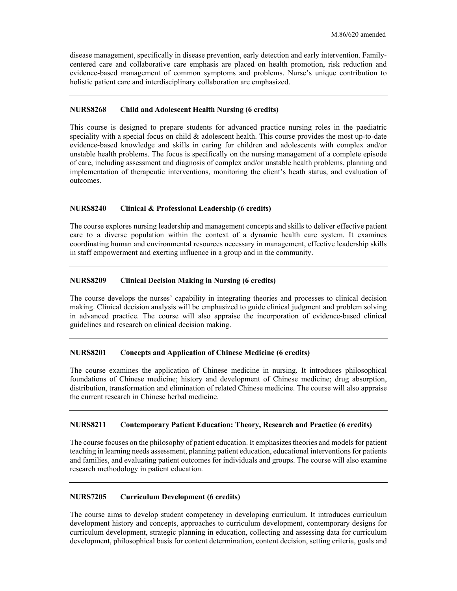disease management, specifically in disease prevention, early detection and early intervention. Family- centered care and collaborative care emphasis are placed on health promotion, risk reduction and evidence-based management of common symptoms and problems. Nurse's unique contribution to holistic patient care and interdisciplinary collaboration are emphasized.

### **NURS8268 Child and Adolescent Health Nursing (6 credits)**

 This course is designed to prepare students for advanced practice nursing roles in the paediatric speciality with a special focus on child  $\&$  adolescent health. This course provides the most up-to-date evidence-based knowledge and skills in caring for children and adolescents with complex and/or unstable health problems. The focus is specifically on the nursing management of a complete episode of care, including assessment and diagnosis of complex and/or unstable health problems, planning and implementation of therapeutic interventions, monitoring the client's heath status, and evaluation of outcomes.

### **NURS8240 Clinical & Professional Leadership (6 credits)**

 The course explores nursing leadership and management concepts and skills to deliver effective patient care to a diverse population within the context of a dynamic health care system. It examines coordinating human and environmental resources necessary in management, effective leadership skills in staff empowerment and exerting influence in a group and in the community.

### **NURS8209 Clinical Decision Making in Nursing (6 credits)**

 The course develops the nurses' capability in integrating theories and processes to clinical decision making. Clinical decision analysis will be emphasized to guide clinical judgment and problem solving in advanced practice. The course will also appraise the incorporation of evidence-based clinical guidelines and research on clinical decision making.

#### **NURS8201 Concepts and Application of Chinese Medicine (6 credits)**

 The course examines the application of Chinese medicine in nursing. It introduces philosophical foundations of Chinese medicine; history and development of Chinese medicine; drug absorption, distribution, transformation and elimination of related Chinese medicine. The course will also appraise the current research in Chinese herbal medicine.

#### **NURS8211 Contemporary Patient Education: Theory, Research and Practice (6 credits)**

 The course focuses on the philosophy of patient education. It emphasizes theories and models for patient teaching in learning needs assessment, planning patient education, educational interventions for patients and families, and evaluating patient outcomes for individuals and groups. The course will also examine research methodology in patient education.

### **NURS7205 Curriculum Development (6 credits)**

 The course aims to develop student competency in developing curriculum. It introduces curriculum development history and concepts, approaches to curriculum development, contemporary designs for curriculum development, strategic planning in education, collecting and assessing data for curriculum development, philosophical basis for content determination, content decision, setting criteria, goals and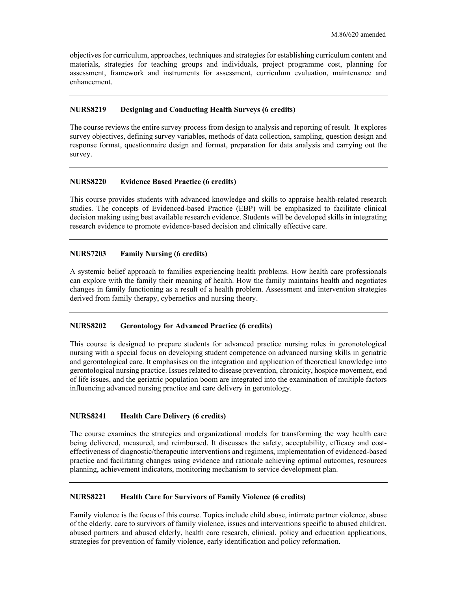objectives for curriculum, approaches, techniques and strategies for establishing curriculum content and materials, strategies for teaching groups and individuals, project programme cost, planning for assessment, framework and instruments for assessment, curriculum evaluation, maintenance and enhancement.

### **NURS8219 Designing and Conducting Health Surveys (6 credits)**

 The course reviews the entire survey process from design to analysis and reporting of result. It explores survey objectives, defining survey variables, methods of data collection, sampling, question design and response format, questionnaire design and format, preparation for data analysis and carrying out the survey.

## **NURS8220 Evidence Based Practice (6 credits)**

 This course provides students with advanced knowledge and skills to appraise health-related research studies. The concepts of Evidenced-based Practice (EBP) will be emphasized to facilitate clinical decision making using best available research evidence. Students will be developed skills in integrating research evidence to promote evidence-based decision and clinically effective care.

### **NURS7203 Family Nursing (6 credits)**

 can explore with the family their meaning of health. How the family maintains health and negotiates changes in family functioning as a result of a health problem. Assessment and intervention strategies derived from family therapy, cybernetics and nursing theory. A systemic belief approach to families experiencing health problems. How health care professionals

# **NURS8202 Gerontology for Advanced Practice (6 credits)**

 This course is designed to prepare students for advanced practice nursing roles in geronotological nursing with a special focus on developing student competence on advanced nursing skills in geriatric gerontological nursing practice. Issues related to disease prevention, chronicity, hospice movement, end of life issues, and the geriatric population boom are integrated into the examination of multiple factors influencing advanced nursing practice and care delivery in gerontology. and gerontological care. It emphasises on the integration and application of theoretical knowledge into

# **NURS8241 Health Care Delivery (6 credits)**

 The course examines the strategies and organizational models for transforming the way health care effectiveness of diagnostic/therapeutic interventions and regimens, implementation of evidenced-based planning, achievement indicators, monitoring mechanism to service development plan. being delivered, measured, and reimbursed. It discusses the safety, acceptability, efficacy and costpractice and facilitating changes using evidence and rationale achieving optimal outcomes, resources

### **NURS8221 Health Care for Survivors of Family Violence (6 credits)**

 Family violence is the focus of this course. Topics include child abuse, intimate partner violence, abuse of the elderly, care to survivors of family violence, issues and interventions specific to abused children, abused partners and abused elderly, health care research, clinical, policy and education applications, strategies for prevention of family violence, early identification and policy reformation.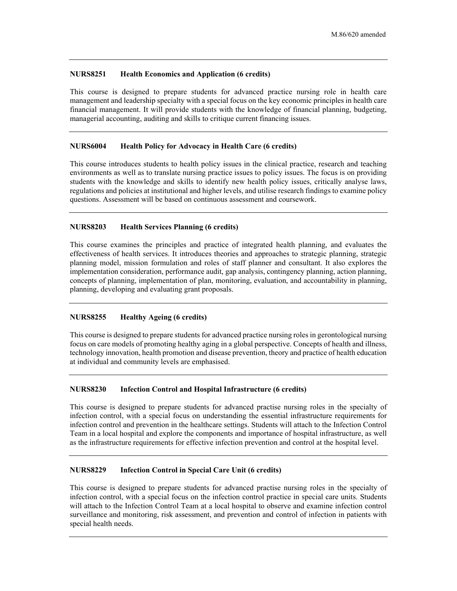# **NURS8251 Health Economics and Application (6 credits)**

 This course is designed to prepare students for advanced practice nursing role in health care management and leadership specialty with a special focus on the key economic principles in health care financial management. It will provide students with the knowledge of financial planning, budgeting, managerial accounting, auditing and skills to critique current financing issues.

# **NURS6004 Health Policy for Advocacy in Health Care (6 credits)**

 environments as well as to translate nursing practice issues to policy issues. The focus is on providing students with the knowledge and skills to identify new health policy issues, critically analyse laws, questions. Assessment will be based on continuous assessment and coursework. This course introduces students to health policy issues in the clinical practice, research and teaching regulations and policies at institutional and higher levels, and utilise research findings to examine policy

# **NURS8203 Health Services Planning (6 credits)**

 This course examines the principles and practice of integrated health planning, and evaluates the effectiveness of health services. It introduces theories and approaches to strategic planning, strategic planning model, mission formulation and roles of staff planner and consultant. It also explores the implementation consideration, performance audit, gap analysis, contingency planning, action planning, concepts of planning, implementation of plan, monitoring, evaluation, and accountability in planning, planning, developing and evaluating grant proposals.

### **NURS8255 Healthy Ageing (6 credits)**

 This course is designed to prepare students for advanced practice nursing roles in gerontological nursing focus on care models of promoting healthy aging in a global perspective. Concepts of health and illness, technology innovation, health promotion and disease prevention, theory and practice of health education at individual and community levels are emphasised.

### **NURS8230 Infection Control and Hospital Infrastructure (6 credits)**

 This course is designed to prepare students for advanced practise nursing roles in the specialty of Team in a local hospital and explore the components and importance of hospital infrastructure, as well infection control, with a special focus on understanding the essential infrastructure requirements for infection control and prevention in the healthcare settings. Students will attach to the Infection Control as the infrastructure requirements for effective infection prevention and control at the hospital level.

### **NURS8229 Infection Control in Special Care Unit (6 credits)**

 This course is designed to prepare students for advanced practise nursing roles in the specialty of infection control, with a special focus on the infection control practice in special care units. Students will attach to the Infection Control Team at a local hospital to observe and examine infection control surveillance and monitoring, risk assessment, and prevention and control of infection in patients with special health needs.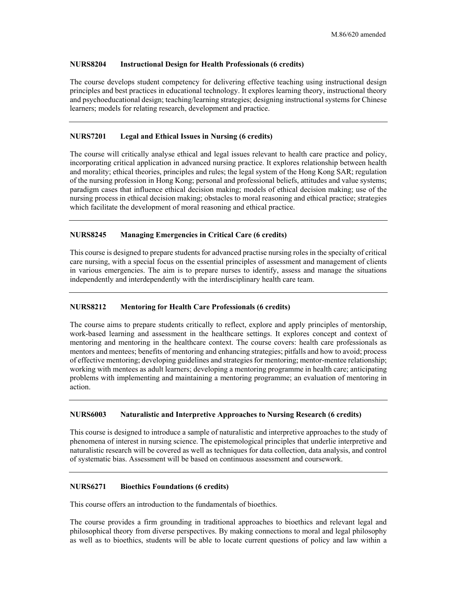# **NURS8204 Instructional Design for Health Professionals (6 credits)**

 principles and best practices in educational technology. It explores learning theory, instructional theory and psychoeducational design; teaching/learning strategies; designing instructional systems for Chinese The course develops student competency for delivering effective teaching using instructional design learners; models for relating research, development and practice.

# **NURS7201 Legal and Ethical Issues in Nursing (6 credits)**

 incorporating critical application in advanced nursing practice. It explores relationship between health paradigm cases that influence ethical decision making; models of ethical decision making; use of the nursing process in ethical decision making; obstacles to moral reasoning and ethical practice; strategies The course will critically analyse ethical and legal issues relevant to health care practice and policy, and morality; ethical theories, principles and rules; the legal system of the Hong Kong SAR; regulation of the nursing profession in Hong Kong; personal and professional beliefs, attitudes and value systems; which facilitate the development of moral reasoning and ethical practice.

# **NURS8245 Managing Emergencies in Critical Care (6 credits)**

 This course is designed to prepare students for advanced practise nursing roles in the specialty of critical care nursing, with a special focus on the essential principles of assessment and management of clients in various emergencies. The aim is to prepare nurses to identify, assess and manage the situations independently and interdependently with the interdisciplinary health care team.

### **NURS8212 Mentoring for Health Care Professionals (6 credits)**

 The course aims to prepare students critically to reflect, explore and apply principles of mentorship, work-based learning and assessment in the healthcare settings. It explores concept and context of mentoring and mentoring in the healthcare context. The course covers: health care professionals as mentors and mentees; benefits of mentoring and enhancing strategies; pitfalls and how to avoid; process of effective mentoring; developing guidelines and strategies for mentoring; mentor-mentee relationship; working with mentees as adult learners; developing a mentoring programme in health care; anticipating problems with implementing and maintaining a mentoring programme; an evaluation of mentoring in action.

# **NURS6003 Naturalistic and Interpretive Approaches to Nursing Research (6 credits)**

 This course is designed to introduce a sample of naturalistic and interpretive approaches to the study of phenomena of interest in nursing science. The epistemological principles that underlie interpretive and of systematic bias. Assessment will be based on continuous assessment and coursework. naturalistic research will be covered as well as techniques for data collection, data analysis, and control

### **NURS6271 Bioethics Foundations (6 credits)**

This course offers an introduction to the fundamentals of bioethics.

 The course provides a firm grounding in traditional approaches to bioethics and relevant legal and philosophical theory from diverse perspectives. By making connections to moral and legal philosophy as well as to bioethics, students will be able to locate current questions of policy and law within a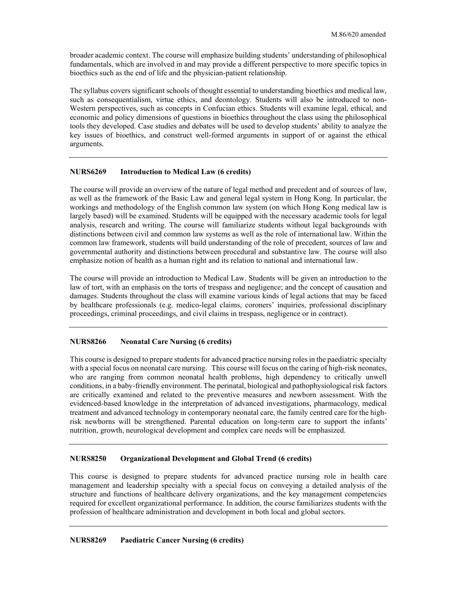fundamentals, which are involved in and may provide a different perspective to more specific topics in bioethics such as the end of life and the physician-patient relationship. broader academic context. The course will emphasize building students' understanding of philosophical

 such as consequentialism, virtue ethics, and deontology. Students will also be introduced to non- Western perspectives, such as concepts in Confucian ethics. Students will examine legal, ethical, and economic and policy dimensions of questions in bioethics throughout the class using the philosophical tools they developed. Case studies and debates will be used to develop students' ability to analyze the key issues of bioethics, and construct well-formed arguments in support of or against the ethical The syllabus covers significant schools of thought essential to understanding bioethics and medical law, arguments.

### **NURS6269 Introduction to Medical Law (6 credits)**

 The course will provide an overview of the nature of legal method and precedent and of sources of law, workings and methodology of the English common law system (on which Hong Kong medical law is governmental authority and distinctions between procedural and substantive law. The course will also emphasize notion of health as a human right and its relation to national and international law. as well as the framework of the Basic Law and general legal system in Hong Kong. In particular, the largely based) will be examined. Students will be equipped with the necessary academic tools for legal analysis, research and writing. The course will familiarize students without legal backgrounds with distinctions between civil and common law systems as well as the role of international law. Within the common law framework, students will build understanding of the role of precedent, sources of law and

 law of tort, with an emphasis on the torts of trespass and negligence; and the concept of causation and damages. Students throughout the class will examine various kinds of legal actions that may be faced The course will provide an introduction to Medical Law. Students will be given an introduction to the by healthcare professionals (e.g. medico-legal claims, coroners' inquiries, professional disciplinary proceedings, criminal proceedings, and civil claims in trespass, negligence or in contract).

### **NURS8266 Neonatal Care Nursing (6 credits)**

 This course is designed to prepare students for advanced practice nursing rolesin the paediatric specialty with a special focus on neonatal care nursing. This course will focus on the caring of high-risk neonates, who are ranging from common neonatal health problems, high dependency to critically unwell conditions, in a baby-friendly environment. The perinatal, biological and pathophysiological risk factors are critically examined and related to the preventive measures and newborn assessment. With the evidenced-based knowledge in the interpretation of advanced investigations, pharmacology, medical treatment and advanced technology in contemporary neonatal care, the family centred care for the high- risk newborns will be strengthened. Parental education on long-term care to support the infants' nutrition, growth, neurological development and complex care needs will be emphasized.

### **NURS8250 Organizational Development and Global Trend (6 credits)**

 This course is designed to prepare students for advanced practice nursing role in health care management and leadership specialty with a special focus on conveying a detailed analysis of the structure and functions of healthcare delivery organizations, and the key management competencies required for excellent organizational performance. In addition, the course familiarizes students with the profession of healthcare administration and development in both local and global sectors.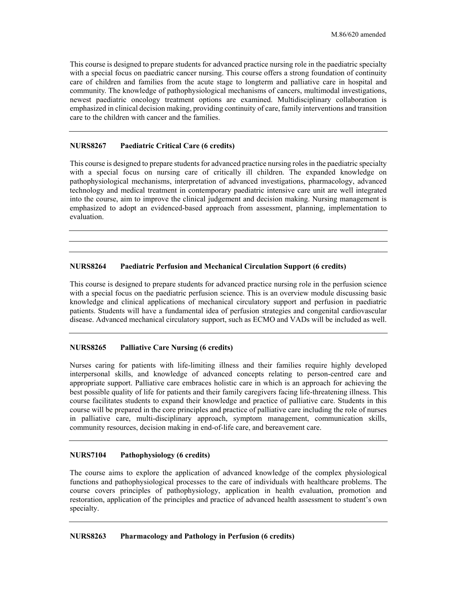This course is designed to prepare students for advanced practice nursing role in the paediatric specialty with a special focus on paediatric cancer nursing. This course offers a strong foundation of continuity care of children and families from the acute stage to longterm and palliative care in hospital and community. The knowledge of pathophysiological mechanisms of cancers, multimodal investigations, newest paediatric oncology treatment options are examined. Multidisciplinary collaboration is emphasized in clinical decision making, providing continuity of care, family interventions and transition care to the children with cancer and the families.

### **NURS8267 Paediatric Critical Care (6 credits)**

This course is designed to prepare students for advanced practice nursing roles in the paediatric specialty with a special focus on nursing care of critically ill children. The expanded knowledge on technology and medical treatment in contemporary paediatric intensive care unit are well integrated into the course, aim to improve the clinical judgement and decision making. Nursing management is emphasized to adopt an evidenced-based approach from assessment, planning, implementation to pathophysiological mechanisms, interpretation of advanced investigations, pharmacology, advanced evaluation.

# **NURS8264 Paediatric Perfusion and Mechanical Circulation Support (6 credits)**

 This course is designed to prepare students for advanced practice nursing role in the perfusion science with a special focus on the paediatric perfusion science. This is an overview module discussing basic knowledge and clinical applications of mechanical circulatory support and perfusion in paediatric patients. Students will have a fundamental idea of perfusion strategies and congenital cardiovascular disease. Advanced mechanical circulatory support, such as ECMO and VADs will be included as well.

#### **NURS8265 Palliative Care Nursing (6 credits)**

 Nurses caring for patients with life-limiting illness and their families require highly developed interpersonal skills, and knowledge of advanced concepts relating to person-centred care and best possible quality of life for patients and their family caregivers facing life-threatening illness. This in palliative care, multi-disciplinary approach, symptom management, communication skills, community resources, decision making in end-of-life care, and bereavement care. appropriate support. Palliative care embraces holistic care in which is an approach for achieving the course facilitates students to expand their knowledge and practice of palliative care. Students in this course will be prepared in the core principles and practice of palliative care including the role of nurses

### **NURS7104 Pathophysiology (6 credits)**

 The course aims to explore the application of advanced knowledge of the complex physiological course covers principles of pathophysiology, application in health evaluation, promotion and functions and pathophysiological processes to the care of individuals with healthcare problems. The restoration, application of the principles and practice of advanced health assessment to student's own specialty.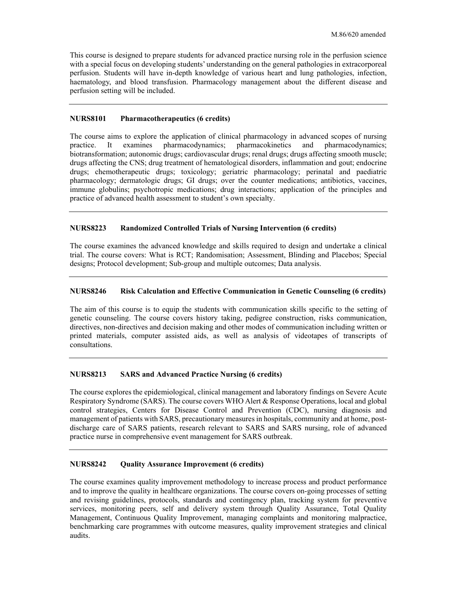This course is designed to prepare students for advanced practice nursing role in the perfusion science with a special focus on developing students' understanding on the general pathologies in extracorporeal perfusion. Students will have in-depth knowledge of various heart and lung pathologies, infection, haematology, and blood transfusion. Pharmacology management about the different disease and perfusion setting will be included.

### **NURS8101 Pharmacotherapeutics (6 credits)**

 $It$  biotransformation; autonomic drugs; cardiovascular drugs; renal drugs; drugs affecting smooth muscle; drugs affecting the CNS; drug treatment of hematological disorders, inflammation and gout; endocrine The course aims to explore the application of clinical pharmacology in advanced scopes of nursing practice. It examines pharmacodynamics; pharmacokinetics and pharmacodynamics; drugs; chemotherapeutic drugs; toxicology; geriatric pharmacology; perinatal and paediatric pharmacology; dermatologic drugs; GI drugs; over the counter medications; antibiotics, vaccines, immune globulins; psychotropic medications; drug interactions; application of the principles and practice of advanced health assessment to student's own specialty.

### **NURS8223 Randomized Controlled Trials of Nursing Intervention (6 credits)**

 trial. The course covers: What is RCT; Randomisation; Assessment, Blinding and Placebos; Special The course examines the advanced knowledge and skills required to design and undertake a clinical designs; Protocol development; Sub-group and multiple outcomes; Data analysis.

### **NURS8246 Risk Calculation and Effective Communication in Genetic Counseling (6 credits)**

 The aim of this course is to equip the students with communication skills specific to the setting of genetic counseling. The course covers history taking, pedigree construction, risks communication, directives, non-directives and decision making and other modes of communication including written or printed materials, computer assisted aids, as well as analysis of videotapes of transcripts of consultations.

### **NURS8213 SARS and Advanced Practice Nursing (6 credits)**

 Respiratory Syndrome (SARS). The course covers WHO Alert & Response Operations, local and global management of patients with SARS, precautionary measuresin hospitals, community and at home, post- practice nurse in comprehensive event management for SARS outbreak. The course explores the epidemiological, clinical management and laboratory findings on Severe Acute control strategies, Centers for Disease Control and Prevention (CDC), nursing diagnosis and discharge care of SARS patients, research relevant to SARS and SARS nursing, role of advanced

### **NURS8242 Quality Assurance Improvement (6 credits)**

 and to improve the quality in healthcare organizations. The course covers on-going processes of setting and revising guidelines, protocols, standards and contingency plan, tracking system for preventive Management, Continuous Quality Improvement, managing complaints and monitoring malpractice, benchmarking care programmes with outcome measures, quality improvement strategies and clinical The course examines quality improvement methodology to increase process and product performance services, monitoring peers, self and delivery system through Quality Assurance, Total Quality audits.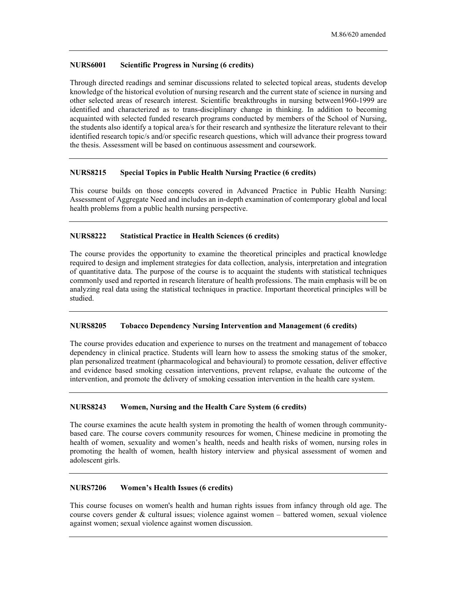# **NURS6001 Scientific Progress in Nursing (6 credits)**

 Through directed readings and seminar discussions related to selected topical areas, students develop knowledge of the historical evolution of nursing research and the current state of science in nursing and other selected areas of research interest. Scientific breakthroughs in nursing between1960-1999 are identified and characterized as to trans-disciplinary change in thinking. In addition to becoming acquainted with selected funded research programs conducted by members of the School of Nursing, the students also identify a topical area/s for their research and synthesize the literature relevant to their identified research topic/s and/or specific research questions, which will advance their progress toward the thesis. Assessment will be based on continuous assessment and coursework.

## **NURS8215 Special Topics in Public Health Nursing Practice (6 credits)**

 This course builds on those concepts covered in Advanced Practice in Public Health Nursing: Assessment of Aggregate Need and includes an in-depth examination of contemporary global and local health problems from a public health nursing perspective.

#### **NURS8222 Statistical Practice in Health Sciences (6 credits)**

 The course provides the opportunity to examine the theoretical principles and practical knowledge commonly used and reported in research literature of health professions. The main emphasis will be on required to design and implement strategies for data collection, analysis, interpretation and integration of quantitative data. The purpose of the course is to acquaint the students with statistical techniques analyzing real data using the statistical techniques in practice. Important theoretical principles will be studied.

# **NURS8205 Tobacco Dependency Nursing Intervention and Management (6 credits)**

 The course provides education and experience to nurses on the treatment and management of tobacco dependency in clinical practice. Students will learn how to assess the smoking status of the smoker, plan personalized treatment (pharmacological and behavioural) to promote cessation, deliver effective and evidence based smoking cessation interventions, prevent relapse, evaluate the outcome of the intervention, and promote the delivery of smoking cessation intervention in the health care system.

#### **NURS8243 Women, Nursing and the Health Care System (6 credits)**

 The course examines the acute health system in promoting the health of women through community- based care. The course covers community resources for women, Chinese medicine in promoting the health of women, sexuality and women's health, needs and health risks of women, nursing roles in promoting the health of women, health history interview and physical assessment of women and adolescent girls.

# **NURS7206 Women's Health Issues (6 credits)**

 This course focuses on women's health and human rights issues from infancy through old age. The course covers gender & cultural issues; violence against women – battered women, sexual violence against women; sexual violence against women discussion.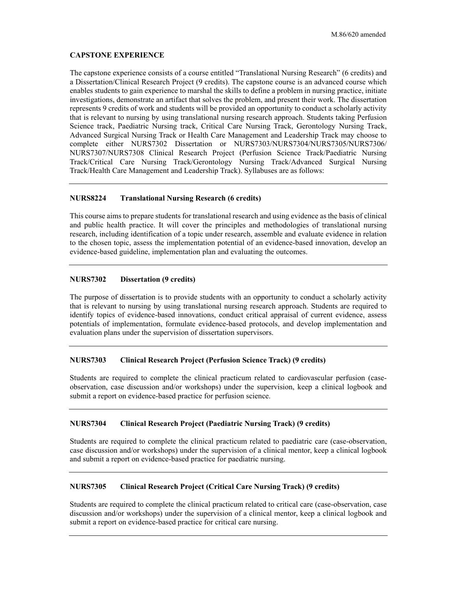### **CAPSTONE EXPERIENCE**

 a Dissertation/Clinical Research Project (9 credits). The capstone course is an advanced course which enables students to gain experience to marshal the skills to define a problem in nursing practice, initiate investigations, demonstrate an artifact that solves the problem, and present their work. The dissertation represents 9 credits of work and students will be provided an opportunity to conduct a scholarly activity that is relevant to nursing by using translational nursing research approach. Students taking Perfusion Science track, Paediatric Nursing track, Critical Care Nursing Track, Gerontology Nursing Track, Advanced Surgical Nursing Track or Health Care Management and Leadership Track may choose to NURS7307/NURS7308 Clinical Research Project (Perfusion Science Track/Paediatric Nursing Track/Critical Care Nursing Track/Gerontology Nursing Track/Advanced Surgical Nursing Track/Health Care Management and Leadership Track). Syllabuses are as follows: The capstone experience consists of a course entitled "Translational Nursing Research" (6 credits) and complete either NURS7302 Dissertation or NURS7303/NURS7304/NURS7305/NURS7306/

### **NURS8224 Translational Nursing Research (6 credits)**

 This course aims to prepare students for translational research and using evidence as the basis of clinical research, including identification of a topic under research, assemble and evaluate evidence in relation to the chosen topic, assess the implementation potential of an evidence-based innovation, develop an evidence-based guideline, implementation plan and evaluating the outcomes. and public health practice. It will cover the principles and methodologies of translational nursing

### **NURS7302 Dissertation (9 credits)**

 The purpose of dissertation is to provide students with an opportunity to conduct a scholarly activity that is relevant to nursing by using translational nursing research approach. Students are required to identify topics of evidence-based innovations, conduct critical appraisal of current evidence, assess potentials of implementation, formulate evidence-based protocols, and develop implementation and evaluation plans under the supervision of dissertation supervisors.

### **NURS7303 Clinical Research Project (Perfusion Science Track) (9 credits)**

 Students are required to complete the clinical practicum related to cardiovascular perfusion (case- observation, case discussion and/or workshops) under the supervision, keep a clinical logbook and submit a report on evidence-based practice for perfusion science.

### **NURS7304 Clinical Research Project (Paediatric Nursing Track) (9 credits)**

 Students are required to complete the clinical practicum related to paediatric care (case-observation, case discussion and/or workshops) under the supervision of a clinical mentor, keep a clinical logbook and submit a report on evidence-based practice for paediatric nursing.

# **NURS7305 Clinical Research Project (Critical Care Nursing Track) (9 credits)**

 Students are required to complete the clinical practicum related to critical care (case-observation, case discussion and/or workshops) under the supervision of a clinical mentor, keep a clinical logbook and submit a report on evidence-based practice for critical care nursing.